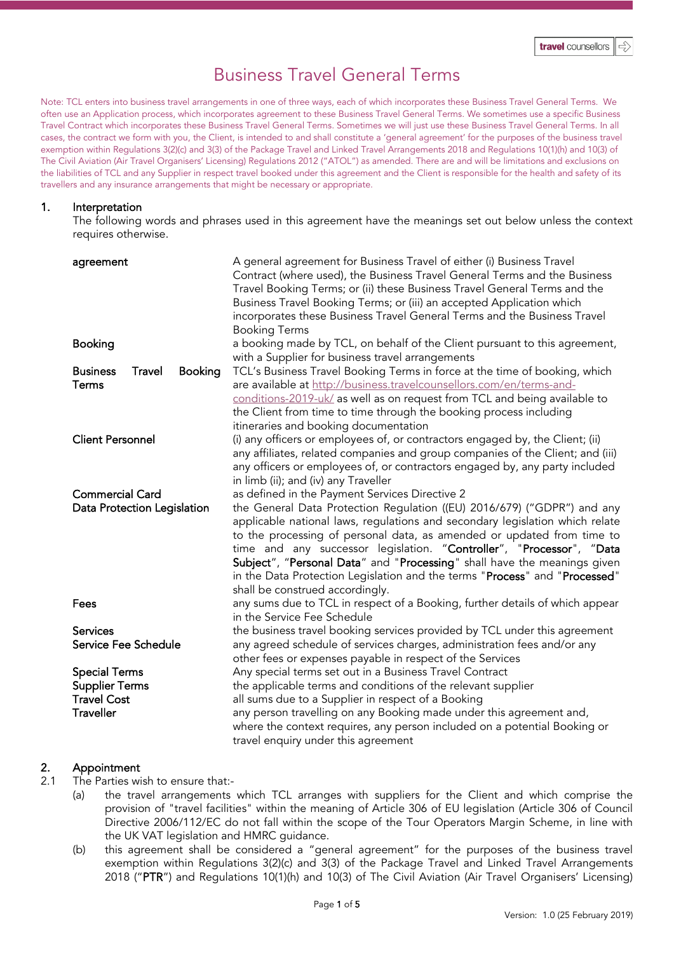# Business Travel General Terms

Note: TCL enters into business travel arrangements in one of three ways, each of which incorporates these Business Travel General Terms. We often use an Application process, which incorporates agreement to these Business Travel General Terms. We sometimes use a specific Business Travel Contract which incorporates these Business Travel General Terms. Sometimes we will just use these Business Travel General Terms. In all cases, the contract we form with you, the Client, is intended to and shall constitute a 'general agreement' for the purposes of the business travel exemption within Regulations 3(2)(c) and 3(3) of the Package Travel and Linked Travel Arrangements 2018 and Regulations 10(1)(h) and 10(3) of The Civil Aviation (Air Travel Organisers' Licensing) Regulations 2012 ("ATOL") as amended. There are and will be limitations and exclusions on the liabilities of TCL and any Supplier in respect travel booked under this agreement and the Client is responsible for the health and safety of its travellers and any insurance arrangements that might be necessary or appropriate.

#### 1. Interpretation

The following words and phrases used in this agreement have the meanings set out below unless the context requires otherwise.

| agreement                                                                               | A general agreement for Business Travel of either (i) Business Travel<br>Contract (where used), the Business Travel General Terms and the Business<br>Travel Booking Terms; or (ii) these Business Travel General Terms and the<br>Business Travel Booking Terms; or (iii) an accepted Application which<br>incorporates these Business Travel General Terms and the Business Travel<br><b>Booking Terms</b>                                                                                                                                             |
|-----------------------------------------------------------------------------------------|----------------------------------------------------------------------------------------------------------------------------------------------------------------------------------------------------------------------------------------------------------------------------------------------------------------------------------------------------------------------------------------------------------------------------------------------------------------------------------------------------------------------------------------------------------|
| <b>Booking</b>                                                                          | a booking made by TCL, on behalf of the Client pursuant to this agreement,<br>with a Supplier for business travel arrangements                                                                                                                                                                                                                                                                                                                                                                                                                           |
| <b>Business</b><br>Travel<br><b>Booking</b><br>Terms                                    | TCL's Business Travel Booking Terms in force at the time of booking, which<br>are available at http://business.travelcounsellors.com/en/terms-and-<br>conditions-2019-uk/ as well as on request from TCL and being available to<br>the Client from time to time through the booking process including<br>itineraries and booking documentation                                                                                                                                                                                                           |
| <b>Client Personnel</b>                                                                 | (i) any officers or employees of, or contractors engaged by, the Client; (ii)<br>any affiliates, related companies and group companies of the Client; and (iii)<br>any officers or employees of, or contractors engaged by, any party included<br>in limb (ii); and (iv) any Traveller                                                                                                                                                                                                                                                                   |
| <b>Commercial Card</b><br>Data Protection Legislation                                   | as defined in the Payment Services Directive 2<br>the General Data Protection Regulation ((EU) 2016/679) ("GDPR") and any<br>applicable national laws, regulations and secondary legislation which relate<br>to the processing of personal data, as amended or updated from time to<br>time and any successor legislation. "Controller", "Processor", "Data<br>Subject", "Personal Data" and "Processing" shall have the meanings given<br>in the Data Protection Legislation and the terms "Process" and "Processed"<br>shall be construed accordingly. |
| Fees                                                                                    | any sums due to TCL in respect of a Booking, further details of which appear<br>in the Service Fee Schedule                                                                                                                                                                                                                                                                                                                                                                                                                                              |
| <b>Services</b><br>Service Fee Schedule                                                 | the business travel booking services provided by TCL under this agreement<br>any agreed schedule of services charges, administration fees and/or any<br>other fees or expenses payable in respect of the Services                                                                                                                                                                                                                                                                                                                                        |
| <b>Special Terms</b><br><b>Supplier Terms</b><br><b>Travel Cost</b><br><b>Traveller</b> | Any special terms set out in a Business Travel Contract<br>the applicable terms and conditions of the relevant supplier<br>all sums due to a Supplier in respect of a Booking<br>any person travelling on any Booking made under this agreement and,<br>where the context requires, any person included on a potential Booking or<br>travel enquiry under this agreement                                                                                                                                                                                 |

# 2. Appointment

2.1 The Parties wish to ensure that:-

- (a) the travel arrangements which TCL arranges with suppliers for the Client and which comprise the provision of "travel facilities" within the meaning of Article 306 of EU legislation (Article 306 of Council Directive 2006/112/EC do not fall within the scope of the Tour Operators Margin Scheme, in line with the UK VAT legislation and HMRC guidance.
- (b) this agreement shall be considered a "general agreement" for the purposes of the business travel exemption within Regulations 3(2)(c) and 3(3) of the Package Travel and Linked Travel Arrangements 2018 ("PTR") and Regulations 10(1)(h) and 10(3) of The Civil Aviation (Air Travel Organisers' Licensing)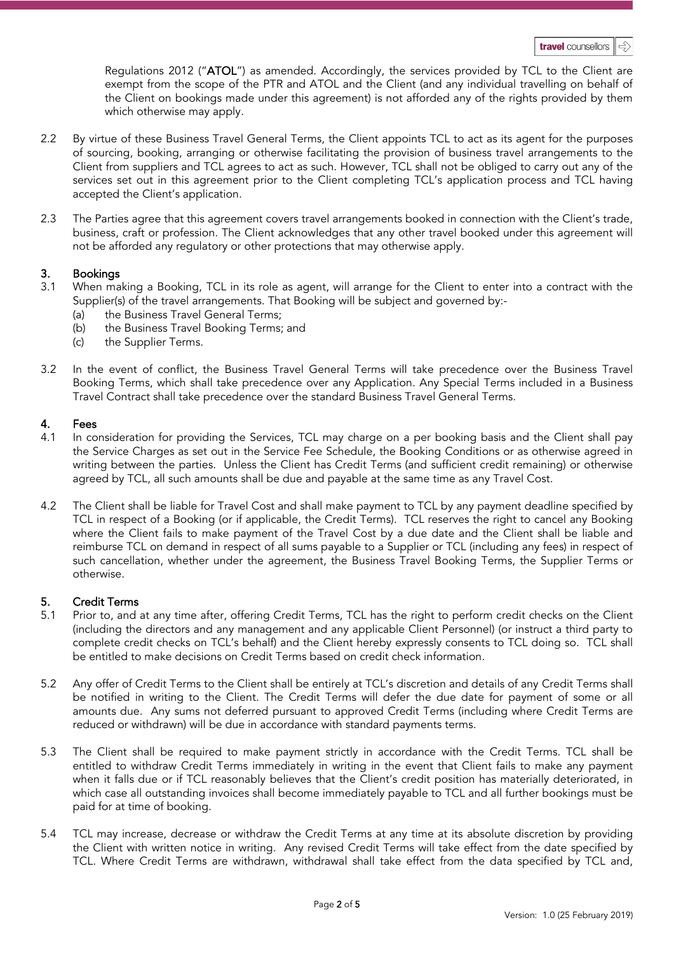Regulations 2012 ("ATOL") as amended. Accordingly, the services provided by TCL to the Client are exempt from the scope of the PTR and ATOL and the Client (and any individual travelling on behalf of the Client on bookings made under this agreement) is not afforded any of the rights provided by them which otherwise may apply.

- 2.2 By virtue of these Business Travel General Terms, the Client appoints TCL to act as its agent for the purposes of sourcing, booking, arranging or otherwise facilitating the provision of business travel arrangements to the Client from suppliers and TCL agrees to act as such. However, TCL shall not be obliged to carry out any of the services set out in this agreement prior to the Client completing TCL's application process and TCL having accepted the Client's application.
- 2.3 The Parties agree that this agreement covers travel arrangements booked in connection with the Client's trade, business, craft or profession. The Client acknowledges that any other travel booked under this agreement will not be afforded any regulatory or other protections that may otherwise apply.

# 3. Bookings

- 3.1 When making a Booking, TCL in its role as agent, will arrange for the Client to enter into a contract with the Supplier(s) of the travel arrangements. That Booking will be subject and governed by:
	- the Business Travel General Terms;
	- (b) the Business Travel Booking Terms; and
	- (c) the Supplier Terms.
- 3.2 In the event of conflict, the Business Travel General Terms will take precedence over the Business Travel Booking Terms, which shall take precedence over any Application. Any Special Terms included in a Business Travel Contract shall take precedence over the standard Business Travel General Terms.

# 4. Fees

- 4.1 In consideration for providing the Services, TCL may charge on a per booking basis and the Client shall pay the Service Charges as set out in the Service Fee Schedule, the Booking Conditions or as otherwise agreed in writing between the parties. Unless the Client has Credit Terms (and sufficient credit remaining) or otherwise agreed by TCL, all such amounts shall be due and payable at the same time as any Travel Cost.
- 4.2 The Client shall be liable for Travel Cost and shall make payment to TCL by any payment deadline specified by TCL in respect of a Booking (or if applicable, the Credit Terms). TCL reserves the right to cancel any Booking where the Client fails to make payment of the Travel Cost by a due date and the Client shall be liable and reimburse TCL on demand in respect of all sums payable to a Supplier or TCL (including any fees) in respect of such cancellation, whether under the agreement, the Business Travel Booking Terms, the Supplier Terms or otherwise.

# 5. Credit Terms

- 5.1 Prior to, and at any time after, offering Credit Terms, TCL has the right to perform credit checks on the Client (including the directors and any management and any applicable Client Personnel) (or instruct a third party to complete credit checks on TCL's behalf) and the Client hereby expressly consents to TCL doing so. TCL shall be entitled to make decisions on Credit Terms based on credit check information.
- 5.2 Any offer of Credit Terms to the Client shall be entirely at TCL's discretion and details of any Credit Terms shall be notified in writing to the Client. The Credit Terms will defer the due date for payment of some or all amounts due. Any sums not deferred pursuant to approved Credit Terms (including where Credit Terms are reduced or withdrawn) will be due in accordance with standard payments terms.
- 5.3 The Client shall be required to make payment strictly in accordance with the Credit Terms. TCL shall be entitled to withdraw Credit Terms immediately in writing in the event that Client fails to make any payment when it falls due or if TCL reasonably believes that the Client's credit position has materially deteriorated, in which case all outstanding invoices shall become immediately payable to TCL and all further bookings must be paid for at time of booking.
- 5.4 TCL may increase, decrease or withdraw the Credit Terms at any time at its absolute discretion by providing the Client with written notice in writing. Any revised Credit Terms will take effect from the date specified by TCL. Where Credit Terms are withdrawn, withdrawal shall take effect from the data specified by TCL and,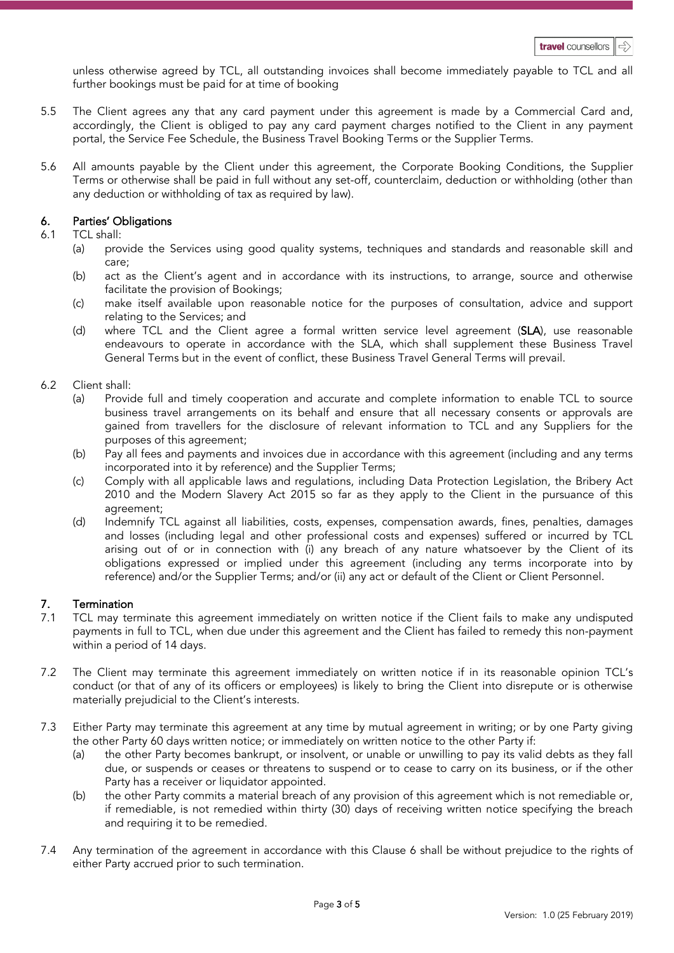unless otherwise agreed by TCL, all outstanding invoices shall become immediately payable to TCL and all further bookings must be paid for at time of booking

- 5.5 The Client agrees any that any card payment under this agreement is made by a Commercial Card and, accordingly, the Client is obliged to pay any card payment charges notified to the Client in any payment portal, the Service Fee Schedule, the Business Travel Booking Terms or the Supplier Terms.
- 5.6 All amounts payable by the Client under this agreement, the Corporate Booking Conditions, the Supplier Terms or otherwise shall be paid in full without any set-off, counterclaim, deduction or withholding (other than any deduction or withholding of tax as required by law).

# 6. Parties' Obligations

#### 6.1 TCL shall:

- (a) provide the Services using good quality systems, techniques and standards and reasonable skill and care;
- (b) act as the Client's agent and in accordance with its instructions, to arrange, source and otherwise facilitate the provision of Bookings;
- (c) make itself available upon reasonable notice for the purposes of consultation, advice and support relating to the Services; and
- (d) where TCL and the Client agree a formal written service level agreement (SLA), use reasonable endeavours to operate in accordance with the SLA, which shall supplement these Business Travel General Terms but in the event of conflict, these Business Travel General Terms will prevail.

# 6.2 Client shall:

- (a) Provide full and timely cooperation and accurate and complete information to enable TCL to source business travel arrangements on its behalf and ensure that all necessary consents or approvals are gained from travellers for the disclosure of relevant information to TCL and any Suppliers for the purposes of this agreement;
- (b) Pay all fees and payments and invoices due in accordance with this agreement (including and any terms incorporated into it by reference) and the Supplier Terms;
- (c) Comply with all applicable laws and regulations, including Data Protection Legislation, the Bribery Act 2010 and the Modern Slavery Act 2015 so far as they apply to the Client in the pursuance of this agreement;
- (d) Indemnify TCL against all liabilities, costs, expenses, compensation awards, fines, penalties, damages and losses (including legal and other professional costs and expenses) suffered or incurred by TCL arising out of or in connection with (i) any breach of any nature whatsoever by the Client of its obligations expressed or implied under this agreement (including any terms incorporate into by reference) and/or the Supplier Terms; and/or (ii) any act or default of the Client or Client Personnel.

# 7. **Termination**<br> $7.1$  TCL may term

- TCL may terminate this agreement immediately on written notice if the Client fails to make any undisputed payments in full to TCL, when due under this agreement and the Client has failed to remedy this non-payment within a period of 14 days.
- 7.2 The Client may terminate this agreement immediately on written notice if in its reasonable opinion TCL's conduct (or that of any of its officers or employees) is likely to bring the Client into disrepute or is otherwise materially prejudicial to the Client's interests.
- 7.3 Either Party may terminate this agreement at any time by mutual agreement in writing; or by one Party giving the other Party 60 days written notice; or immediately on written notice to the other Party if:
	- (a) the other Party becomes bankrupt, or insolvent, or unable or unwilling to pay its valid debts as they fall due, or suspends or ceases or threatens to suspend or to cease to carry on its business, or if the other Party has a receiver or liquidator appointed.
	- (b) the other Party commits a material breach of any provision of this agreement which is not remediable or, if remediable, is not remedied within thirty (30) days of receiving written notice specifying the breach and requiring it to be remedied.
- 7.4 Any termination of the agreement in accordance with this Clause 6 shall be without prejudice to the rights of either Party accrued prior to such termination.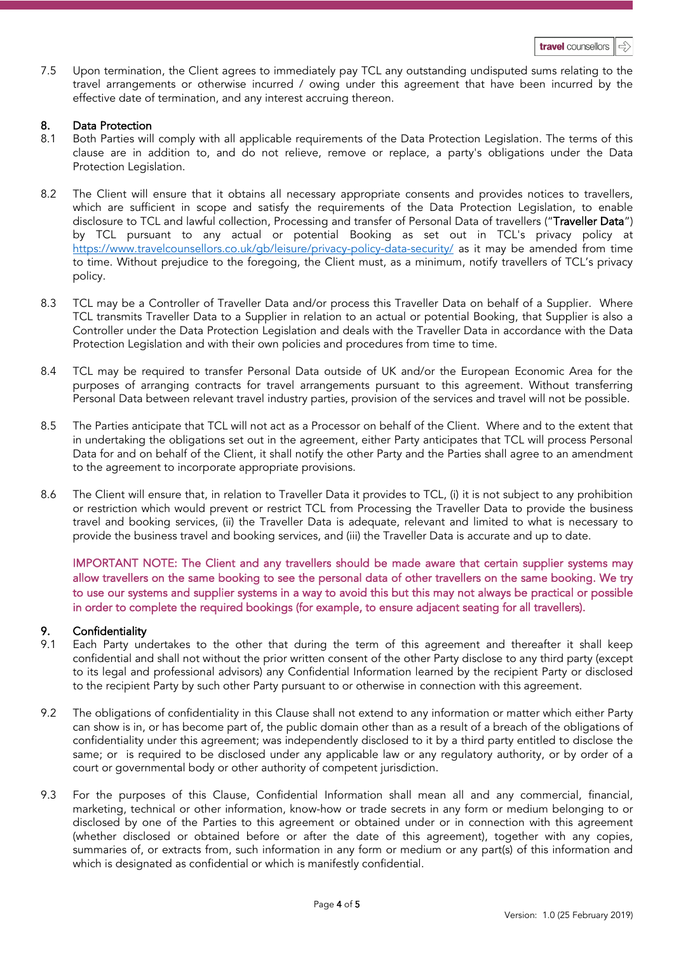7.5 Upon termination, the Client agrees to immediately pay TCL any outstanding undisputed sums relating to the travel arrangements or otherwise incurred / owing under this agreement that have been incurred by the effective date of termination, and any interest accruing thereon.

# 8. Data Protection

- 8.1 Both Parties will comply with all applicable requirements of the Data Protection Legislation. The terms of this clause are in addition to, and do not relieve, remove or replace, a party's obligations under the Data Protection Legislation.
- 8.2 The Client will ensure that it obtains all necessary appropriate consents and provides notices to travellers, which are sufficient in scope and satisfy the requirements of the Data Protection Legislation, to enable disclosure to TCL and lawful collection, Processing and transfer of Personal Data of travellers ("Traveller Data") by TCL pursuant to any actual or potential Booking as set out in TCL's privacy policy at <https://www.travelcounsellors.co.uk/gb/leisure/privacy-policy-data-security/> as it may be amended from time to time. Without prejudice to the foregoing, the Client must, as a minimum, notify travellers of TCL's privacy policy.
- 8.3 TCL may be a Controller of Traveller Data and/or process this Traveller Data on behalf of a Supplier. Where TCL transmits Traveller Data to a Supplier in relation to an actual or potential Booking, that Supplier is also a Controller under the Data Protection Legislation and deals with the Traveller Data in accordance with the Data Protection Legislation and with their own policies and procedures from time to time.
- 8.4 TCL may be required to transfer Personal Data outside of UK and/or the European Economic Area for the purposes of arranging contracts for travel arrangements pursuant to this agreement. Without transferring Personal Data between relevant travel industry parties, provision of the services and travel will not be possible.
- 8.5 The Parties anticipate that TCL will not act as a Processor on behalf of the Client. Where and to the extent that in undertaking the obligations set out in the agreement, either Party anticipates that TCL will process Personal Data for and on behalf of the Client, it shall notify the other Party and the Parties shall agree to an amendment to the agreement to incorporate appropriate provisions.
- 8.6 The Client will ensure that, in relation to Traveller Data it provides to TCL, (i) it is not subject to any prohibition or restriction which would prevent or restrict TCL from Processing the Traveller Data to provide the business travel and booking services, (ii) the Traveller Data is adequate, relevant and limited to what is necessary to provide the business travel and booking services, and (iii) the Traveller Data is accurate and up to date.

IMPORTANT NOTE: The Client and any travellers should be made aware that certain supplier systems may allow travellers on the same booking to see the personal data of other travellers on the same booking. We try to use our systems and supplier systems in a way to avoid this but this may not always be practical or possible in order to complete the required bookings (for example, to ensure adjacent seating for all travellers).

# 9. Confidentiality

- 9.1 Each Party undertakes to the other that during the term of this agreement and thereafter it shall keep confidential and shall not without the prior written consent of the other Party disclose to any third party (except to its legal and professional advisors) any Confidential Information learned by the recipient Party or disclosed to the recipient Party by such other Party pursuant to or otherwise in connection with this agreement.
- 9.2 The obligations of confidentiality in this Clause shall not extend to any information or matter which either Party can show is in, or has become part of, the public domain other than as a result of a breach of the obligations of confidentiality under this agreement; was independently disclosed to it by a third party entitled to disclose the same; or is required to be disclosed under any applicable law or any regulatory authority, or by order of a court or governmental body or other authority of competent jurisdiction.
- 9.3 For the purposes of this Clause, Confidential Information shall mean all and any commercial, financial, marketing, technical or other information, know-how or trade secrets in any form or medium belonging to or disclosed by one of the Parties to this agreement or obtained under or in connection with this agreement (whether disclosed or obtained before or after the date of this agreement), together with any copies, summaries of, or extracts from, such information in any form or medium or any part(s) of this information and which is designated as confidential or which is manifestly confidential.